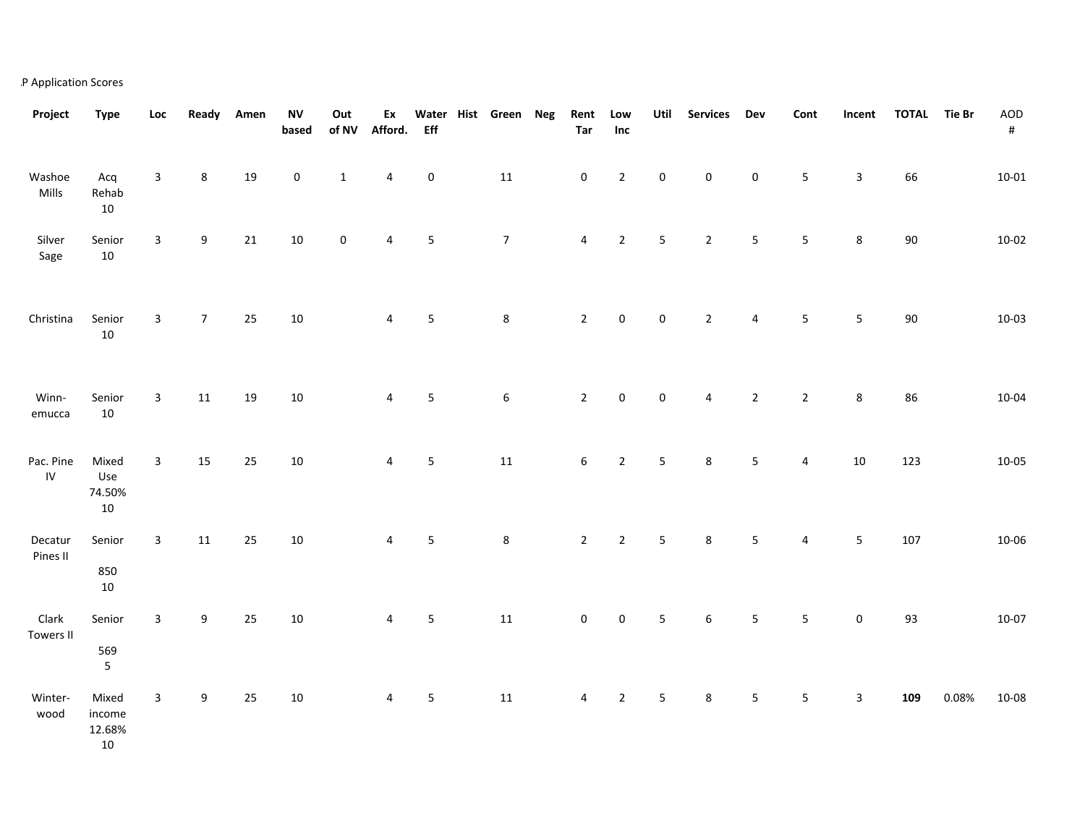## AP Application Scores

| Project                 | <b>Type</b>                                             | Loc          | Ready            | Amen | <b>NV</b><br>based | Out<br>of NV | Ex<br>Afford.  | <b>Eff</b>  | Water Hist Green Neg | Rent<br>Tar      | Low<br>Inc  | Util           | <b>Services</b> | Dev              | Cont           | Incent         | <b>TOTAL</b> | Tie Br | AOD<br>$\#$ |
|-------------------------|---------------------------------------------------------|--------------|------------------|------|--------------------|--------------|----------------|-------------|----------------------|------------------|-------------|----------------|-----------------|------------------|----------------|----------------|--------------|--------|-------------|
| Washoe<br>Mills         | Acq<br>Rehab<br>$10\,$                                  | 3            | 8                | 19   | $\pmb{0}$          | $1\,$        | 4              | $\pmb{0}$   | $11\,$               | $\pmb{0}$        | $\mathbf 2$ | 0              | 0               | $\boldsymbol{0}$ | $\sf 5$        | $\mathbf{3}$   | 66           |        | $10 - 01$   |
| Silver<br>Sage          | Senior<br>$10\,$                                        | 3            | 9                | 21   | 10                 | $\mathbf 0$  | 4              | 5           | $\overline{7}$       | $\overline{4}$   | $\mathbf 2$ | 5              | $\overline{2}$  | 5                | $\sf 5$        | $\bf 8$        | $90\,$       |        | $10 - 02$   |
| Christina               | Senior<br>$10\,$                                        | $\mathbf{3}$ | $\overline{7}$   | 25   | 10                 |              | $\overline{4}$ | 5           | $\bf 8$              | $\overline{2}$   | $\pmb{0}$   | $\pmb{0}$      | $\mathbf 2$     | 4                | $\mathsf S$    | $\overline{5}$ | $90\,$       |        | $10 - 03$   |
| Winn-<br>emucca         | Senior<br>$10\,$                                        | 3            | $11\,$           | 19   | 10                 |              | 4              | $\sqrt{5}$  | $\boldsymbol{6}$     | $\overline{2}$   | $\pmb{0}$   | $\pmb{0}$      | 4               | $\mathbf 2$      | $\overline{2}$ | $\bf 8$        | 86           |        | $10 - 04$   |
| Pac. Pine<br>${\sf IV}$ | Mixed<br>Use<br>74.50%<br>$10\,$                        | 3            | 15               | 25   | 10                 |              | 4              | $\mathsf S$ | $11\,$               | $\boldsymbol{6}$ | $\mathbf 2$ | 5              | 8               | $\sqrt{5}$       | 4              | 10             | 123          |        | $10 - 05$   |
| Decatur<br>Pines II     | Senior<br>850<br>$10\,$                                 | $\mathbf{3}$ | $11\,$           | 25   | 10                 |              | 4              | 5           | $\,8\,$              | $\overline{2}$   | $\mathbf 2$ | $\overline{5}$ | 8               | $\overline{5}$   | 4              | $\overline{5}$ | 107          |        | 10-06       |
| Clark<br>Towers II      | Senior<br>569<br>$\mathsf S$                            | $\mathbf{3}$ | $\boldsymbol{9}$ | 25   | 10                 |              | $\overline{4}$ | 5           | ${\bf 11}$           | $\pmb{0}$        | $\pmb{0}$   | 5              | 6               | $\overline{5}$   | ${\mathsf 5}$  | $\pmb{0}$      | 93           |        | $10 - 07$   |
| Winter-<br>wood         | Mixed<br>$\mathop{\mathsf{income}}$<br>12.68%<br>$10\,$ | $\mathbf{3}$ | 9                | 25   | 10                 |              | 4              | $\mathsf S$ | $11\,$               | 4                | $\mathbf 2$ | 5              | 8               | $\mathsf S$      | $\mathsf S$    | $\mathbf{3}$   | 109          | 0.08%  | $10 - 08$   |